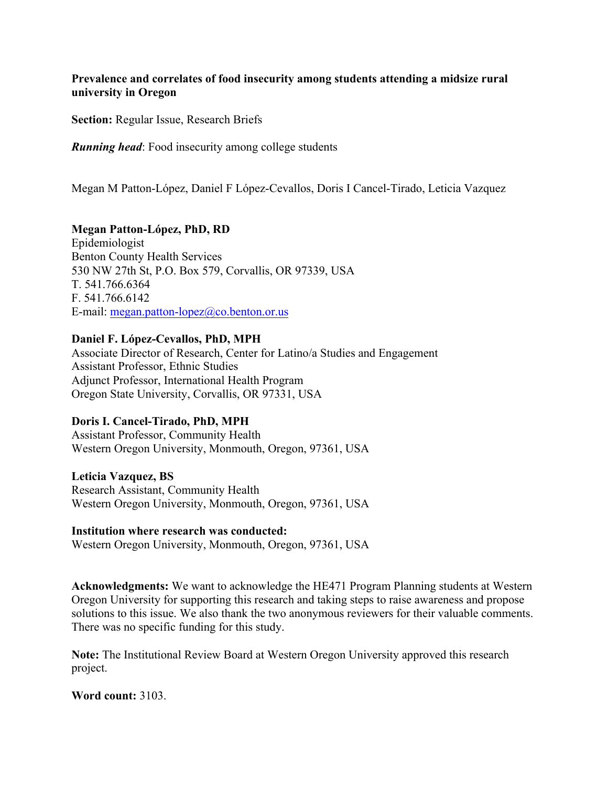# **Prevalence and correlates of food insecurity among students attending a midsize rural university in Oregon**

**Section:** Regular Issue, Research Briefs

*Running head*: Food insecurity among college students

Megan M Patton-López, Daniel F López-Cevallos, Doris I Cancel-Tirado, Leticia Vazquez

# **Megan Patton-López, PhD, RD**

Epidemiologist Benton County Health Services 530 NW 27th St, P.O. Box 579, Corvallis, OR 97339, USA T. 541.766.6364 F. 541.766.6142 E-mail: megan.patton-lopez $(a)$ co.benton.or.us

# **Daniel F. López-Cevallos, PhD, MPH**

Associate Director of Research, Center for Latino/a Studies and Engagement Assistant Professor, Ethnic Studies Adjunct Professor, International Health Program Oregon State University, Corvallis, OR 97331, USA

# **Doris I. Cancel-Tirado, PhD, MPH**

Assistant Professor, Community Health Western Oregon University, Monmouth, Oregon, 97361, USA

**Leticia Vazquez, BS** Research Assistant, Community Health Western Oregon University, Monmouth, Oregon, 97361, USA

## **Institution where research was conducted:**

Western Oregon University, Monmouth, Oregon, 97361, USA

**Acknowledgments:** We want to acknowledge the HE471 Program Planning students at Western Oregon University for supporting this research and taking steps to raise awareness and propose solutions to this issue. We also thank the two anonymous reviewers for their valuable comments. There was no specific funding for this study.

**Note:** The Institutional Review Board at Western Oregon University approved this research project.

**Word count:** 3103.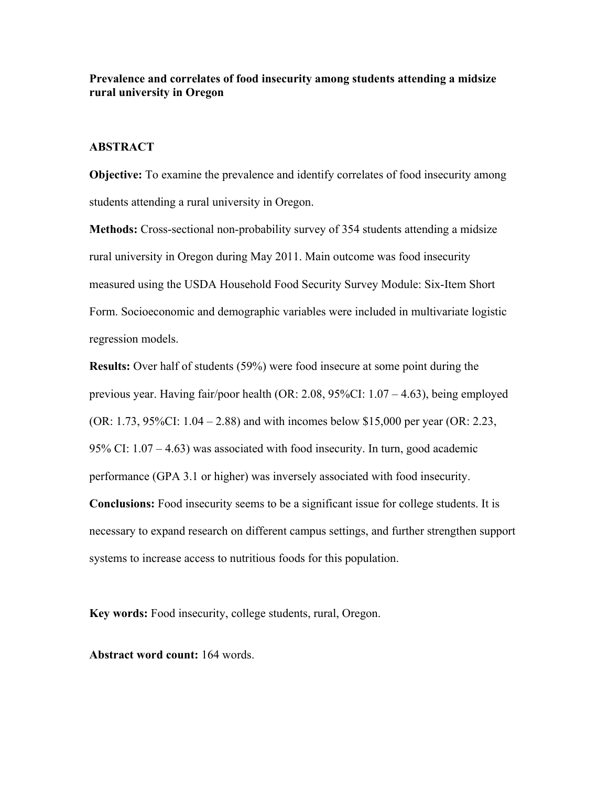# **Prevalence and correlates of food insecurity among students attending a midsize rural university in Oregon**

### **ABSTRACT**

**Objective:** To examine the prevalence and identify correlates of food insecurity among students attending a rural university in Oregon.

**Methods:** Cross-sectional non-probability survey of 354 students attending a midsize rural university in Oregon during May 2011. Main outcome was food insecurity measured using the USDA Household Food Security Survey Module: Six-Item Short Form. Socioeconomic and demographic variables were included in multivariate logistic regression models.

**Results:** Over half of students (59%) were food insecure at some point during the previous year. Having fair/poor health (OR: 2.08, 95%CI: 1.07 – 4.63), being employed (OR: 1.73, 95%CI: 1.04 – 2.88) and with incomes below \$15,000 per year (OR: 2.23, 95% CI: 1.07 – 4.63) was associated with food insecurity. In turn, good academic performance (GPA 3.1 or higher) was inversely associated with food insecurity.

**Conclusions:** Food insecurity seems to be a significant issue for college students. It is necessary to expand research on different campus settings, and further strengthen support systems to increase access to nutritious foods for this population.

**Key words:** Food insecurity, college students, rural, Oregon.

**Abstract word count:** 164 words.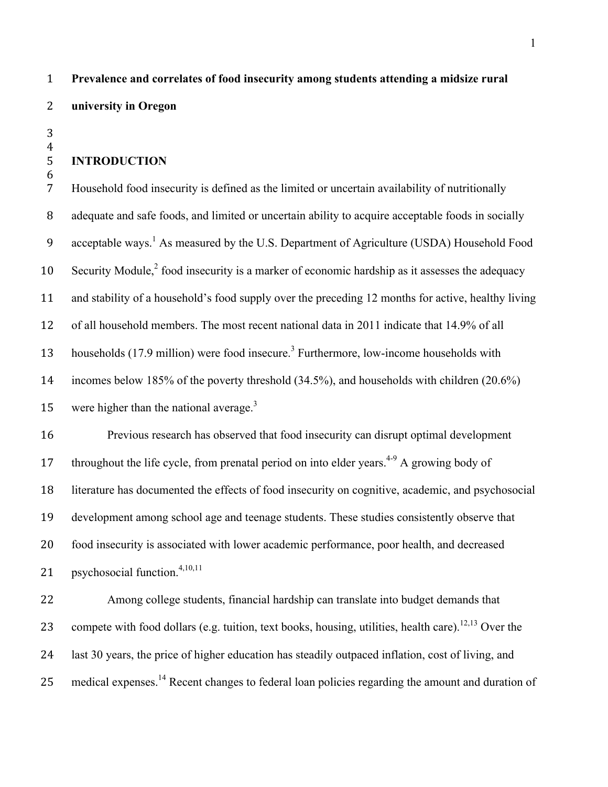# **Prevalence and correlates of food insecurity among students attending a midsize rural university in Oregon**

  $\frac{4}{5}$ 

#### **INTRODUCTION**

 Household food insecurity is defined as the limited or uncertain availability of nutritionally adequate and safe foods, and limited or uncertain ability to acquire acceptable foods in socially 9 acceptable ways.<sup>1</sup> As measured by the U.S. Department of Agriculture (USDA) Household Food 10 Security Module, food insecurity is a marker of economic hardship as it assesses the adequacy and stability of a household's food supply over the preceding 12 months for active, healthy living of all household members. The most recent national data in 2011 indicate that 14.9% of all 13 households (17.9 million) were food insecure.<sup>3</sup> Furthermore, low-income households with incomes below 185% of the poverty threshold (34.5%), and households with children (20.6%) 15 were higher than the national average.<sup>3</sup> Previous research has observed that food insecurity can disrupt optimal development 17 throughout the life cycle, from prenatal period on into elder years.<sup>4-9</sup> A growing body of

 literature has documented the effects of food insecurity on cognitive, academic, and psychosocial development among school age and teenage students. These studies consistently observe that food insecurity is associated with lower academic performance, poor health, and decreased

21 psychosocial function. $4,10,11$ 

 Among college students, financial hardship can translate into budget demands that 23 compete with food dollars (e.g. tuition, text books, housing, utilities, health care).<sup>12,13</sup> Over the last 30 years, the price of higher education has steadily outpaced inflation, cost of living, and 25 medical expenses.<sup>14</sup> Recent changes to federal loan policies regarding the amount and duration of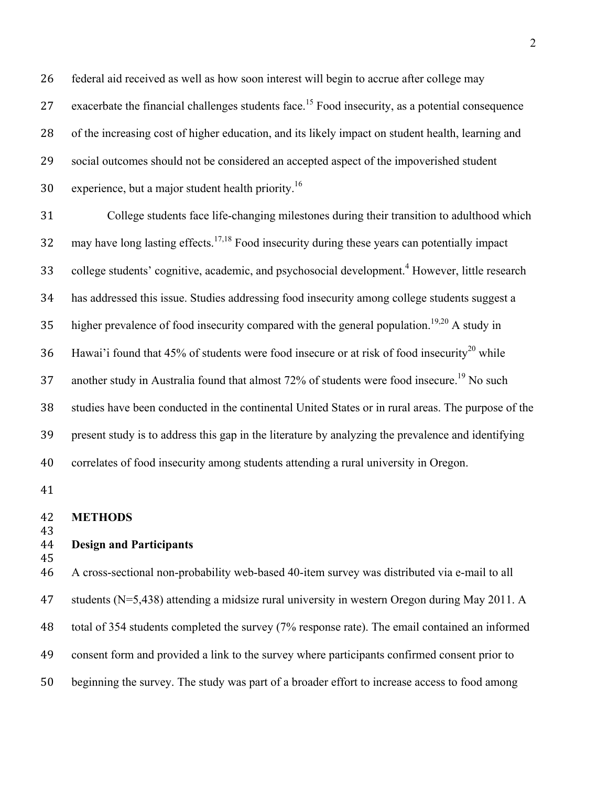federal aid received as well as how soon interest will begin to accrue after college may 27 exacerbate the financial challenges students face.<sup>15</sup> Food insecurity, as a potential consequence of the increasing cost of higher education, and its likely impact on student health, learning and social outcomes should not be considered an accepted aspect of the impoverished student 30 experience, but a major student health priority.<sup>16</sup>

 College students face life-changing milestones during their transition to adulthood which 32  $\ldots$  may have long lasting effects.<sup>17,18</sup> Food insecurity during these years can potentially impact 33 college students' cognitive, academic, and psychosocial development.<sup>4</sup> However, little research has addressed this issue. Studies addressing food insecurity among college students suggest a 35 higher prevalence of food insecurity compared with the general population.<sup>19,20</sup> A study in Hawai'i found that 45% of students were food insecure or at risk of food insecurity<sup>20</sup> while 37 another study in Australia found that almost  $72\%$  of students were food insecure.<sup>19</sup> No such studies have been conducted in the continental United States or in rural areas. The purpose of the present study is to address this gap in the literature by analyzing the prevalence and identifying correlates of food insecurity among students attending a rural university in Oregon.

**METHODS**

#### **Design and Participants**

 A cross-sectional non-probability web-based 40-item survey was distributed via e-mail to all students (N=5,438) attending a midsize rural university in western Oregon during May 2011. A total of 354 students completed the survey (7% response rate). The email contained an informed consent form and provided a link to the survey where participants confirmed consent prior to beginning the survey. The study was part of a broader effort to increase access to food among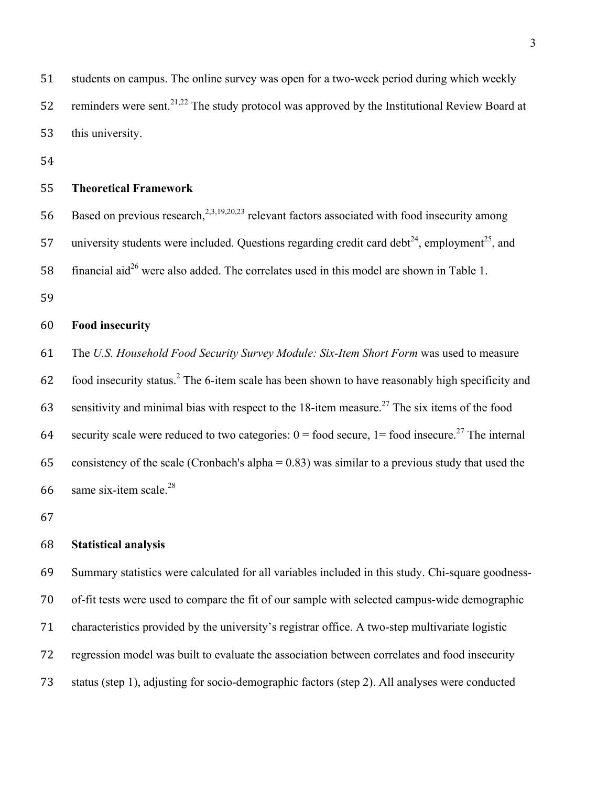students on campus. The online survey was open for a two-week period during which weekly 52 reminders were sent.<sup>21,22</sup> The study protocol was approved by the Institutional Review Board at this university.

## **Theoretical Framework**

56 Based on previous research,  $^{2,3,19,20,23}$  relevant factors associated with food insecurity among 57 university students were included. Questions regarding credit card debt<sup>24</sup>, employment<sup>25</sup>, and 58 financial aid<sup>26</sup> were also added. The correlates used in this model are shown in Table 1.

#### **Food insecurity**

 The *U.S. Household Food Security Survey Module: Six-Item Short Form* was used to measure 62 food insecurity status.<sup>2</sup> The 6-item scale has been shown to have reasonably high specificity and

63 sensitivity and minimal bias with respect to the 18-item measure.<sup>27</sup> The six items of the food 64 security scale were reduced to two categories:  $0 =$  food secure,  $1 =$  food insecure.<sup>27</sup> The internal consistency of the scale (Cronbach's alpha = 0.83) was similar to a previous study that used the 66 same six-item scale.<sup>28</sup>

#### **Statistical analysis**

 Summary statistics were calculated for all variables included in this study. Chi-square goodness- of-fit tests were used to compare the fit of our sample with selected campus-wide demographic characteristics provided by the university's registrar office. A two-step multivariate logistic regression model was built to evaluate the association between correlates and food insecurity status (step 1), adjusting for socio-demographic factors (step 2). All analyses were conducted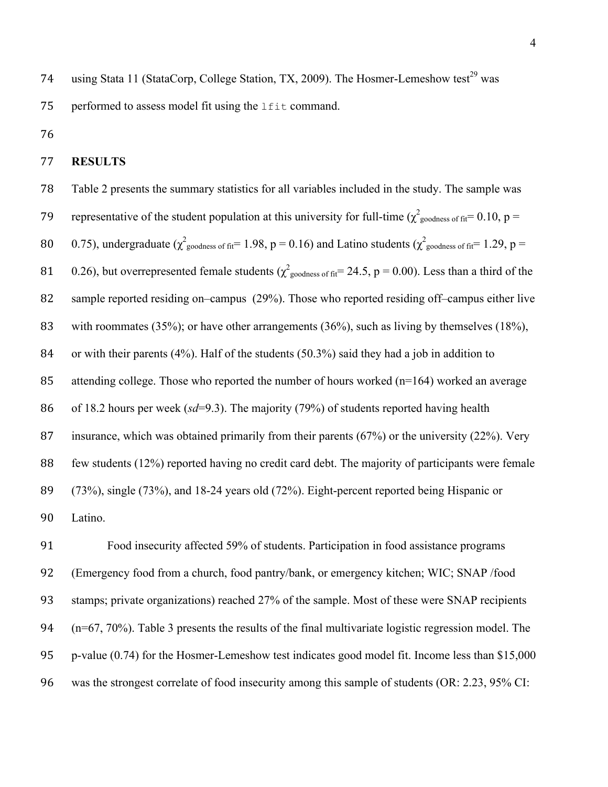74 using Stata 11 (StataCorp, College Station, TX, 2009). The Hosmer-Lemeshow test<sup>29</sup> was

performed to assess model fit using the lfit command.

### **RESULTS**

 Table 2 presents the summary statistics for all variables included in the study. The sample was 79 representative of the student population at this university for full-time ( $\chi^2$ <sub>goodness of fit</sub> = 0.10, p = 80 0.75), undergraduate ( $\chi^2$ <sub>goodness of fit</sub> = 1.98, p = 0.16) and Latino students ( $\chi^2$ <sub>goodness of fit</sub> = 1.29, p = 81 0.26), but overrepresented female students ( $\chi^2$ <sub>goodness of fit</sub> = 24.5, p = 0.00). Less than a third of the 82 sample reported residing on–campus (29%). Those who reported residing off–campus either live with roommates (35%); or have other arrangements (36%), such as living by themselves (18%), or with their parents (4%). Half of the students (50.3%) said they had a job in addition to attending college. Those who reported the number of hours worked (n=164) worked an average of 18.2 hours per week (*sd*=9.3). The majority (79%) of students reported having health 87 insurance, which was obtained primarily from their parents (67%) or the university (22%). Very few students (12%) reported having no credit card debt. The majority of participants were female (73%), single (73%), and 18-24 years old (72%). Eight-percent reported being Hispanic or Latino.

 Food insecurity affected 59% of students. Participation in food assistance programs (Emergency food from a church, food pantry/bank, or emergency kitchen; WIC; SNAP /food stamps; private organizations) reached 27% of the sample. Most of these were SNAP recipients (n=67, 70%). Table 3 presents the results of the final multivariate logistic regression model. The p-value (0.74) for the Hosmer-Lemeshow test indicates good model fit. Income less than \$15,000 was the strongest correlate of food insecurity among this sample of students (OR: 2.23, 95% CI: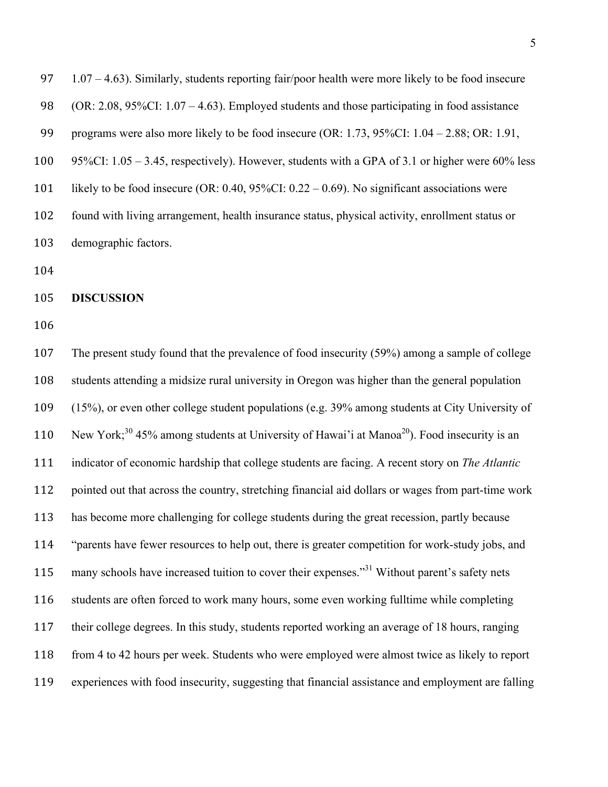97 1.07 – 4.63). Similarly, students reporting fair/poor health were more likely to be food insecure (OR: 2.08, 95%CI: 1.07 – 4.63). Employed students and those participating in food assistance 99 programs were also more likely to be food insecure (OR: 1.73, 95%CI: 1.04 – 2.88; OR: 1.91, 95%CI: 1.05 – 3.45, respectively). However, students with a GPA of 3.1 or higher were 60% less 101 likely to be food insecure (OR: 0.40, 95%CI: 0.22 – 0.69). No significant associations were found with living arrangement, health insurance status, physical activity, enrollment status or demographic factors.

### **DISCUSSION**

 The present study found that the prevalence of food insecurity (59%) among a sample of college students attending a midsize rural university in Oregon was higher than the general population (15%), or even other college student populations (e.g. 39% among students at City University of 110 New York;<sup>30</sup> 45% among students at University of Hawai'i at Manoa<sup>20</sup>). Food insecurity is an indicator of economic hardship that college students are facing. A recent story on *The Atlantic*  pointed out that across the country, stretching financial aid dollars or wages from part-time work has become more challenging for college students during the great recession, partly because "parents have fewer resources to help out, there is greater competition for work-study jobs, and 115 many schools have increased tuition to cover their expenses."<sup>31</sup> Without parent's safety nets students are often forced to work many hours, some even working fulltime while completing their college degrees. In this study, students reported working an average of 18 hours, ranging from 4 to 42 hours per week. Students who were employed were almost twice as likely to report experiences with food insecurity, suggesting that financial assistance and employment are falling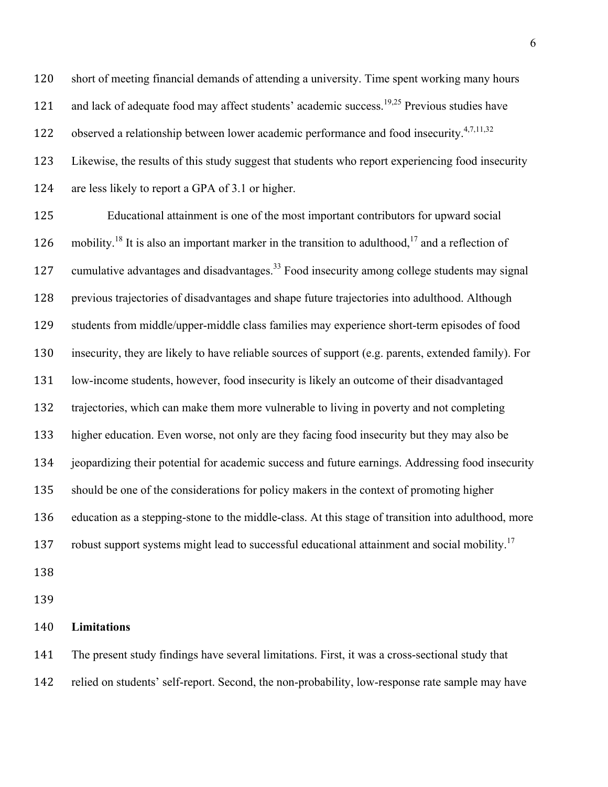short of meeting financial demands of attending a university. Time spent working many hours 121 and lack of adequate food may affect students' academic success.<sup>19,25</sup> Previous studies have 122 observed a relationship between lower academic performance and food insecurity.<sup>4,7,11,32</sup> Likewise, the results of this study suggest that students who report experiencing food insecurity are less likely to report a GPA of 3.1 or higher.

 Educational attainment is one of the most important contributors for upward social 126 mobility.<sup>18</sup> It is also an important marker in the transition to adulthood,<sup>17</sup> and a reflection of 127 cumulative advantages and disadvantages.<sup>33</sup> Food insecurity among college students may signal previous trajectories of disadvantages and shape future trajectories into adulthood. Although students from middle/upper-middle class families may experience short-term episodes of food insecurity, they are likely to have reliable sources of support (e.g. parents, extended family). For low-income students, however, food insecurity is likely an outcome of their disadvantaged trajectories, which can make them more vulnerable to living in poverty and not completing higher education. Even worse, not only are they facing food insecurity but they may also be jeopardizing their potential for academic success and future earnings. Addressing food insecurity should be one of the considerations for policy makers in the context of promoting higher education as a stepping-stone to the middle-class. At this stage of transition into adulthood, more 137 robust support systems might lead to successful educational attainment and social mobility.<sup>17</sup>

#### **Limitations**

 The present study findings have several limitations. First, it was a cross-sectional study that relied on students' self-report. Second, the non-probability, low-response rate sample may have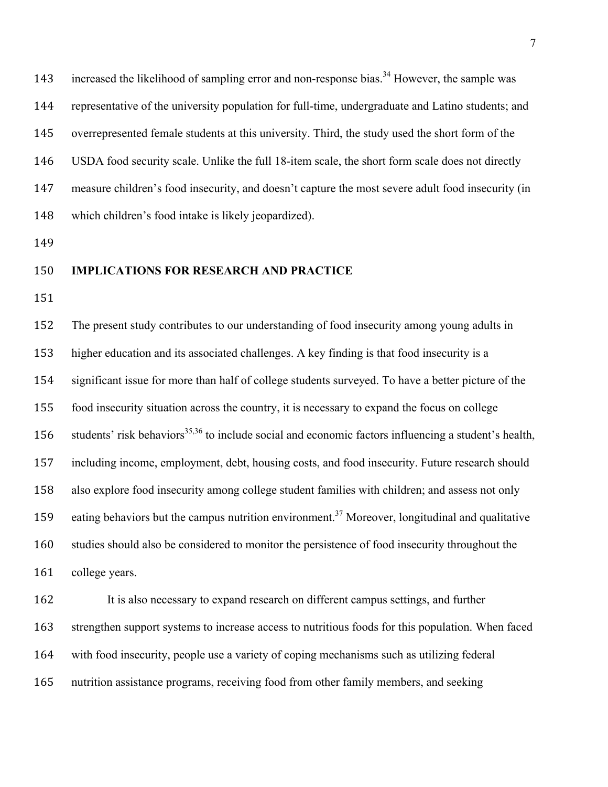143 increased the likelihood of sampling error and non-response bias.<sup>34</sup> However, the sample was representative of the university population for full-time, undergraduate and Latino students; and overrepresented female students at this university. Third, the study used the short form of the USDA food security scale. Unlike the full 18-item scale, the short form scale does not directly measure children's food insecurity, and doesn't capture the most severe adult food insecurity (in which children's food intake is likely jeopardized).

# **IMPLICATIONS FOR RESEARCH AND PRACTICE**

 The present study contributes to our understanding of food insecurity among young adults in higher education and its associated challenges. A key finding is that food insecurity is a significant issue for more than half of college students surveyed. To have a better picture of the food insecurity situation across the country, it is necessary to expand the focus on college 156 students' risk behaviors<sup>35,36</sup> to include social and economic factors influencing a student's health, including income, employment, debt, housing costs, and food insecurity. Future research should also explore food insecurity among college student families with children; and assess not only 159 eating behaviors but the campus nutrition environment.<sup>37</sup> Moreover, longitudinal and qualitative studies should also be considered to monitor the persistence of food insecurity throughout the 161 college years.

 It is also necessary to expand research on different campus settings, and further strengthen support systems to increase access to nutritious foods for this population. When faced with food insecurity, people use a variety of coping mechanisms such as utilizing federal nutrition assistance programs, receiving food from other family members, and seeking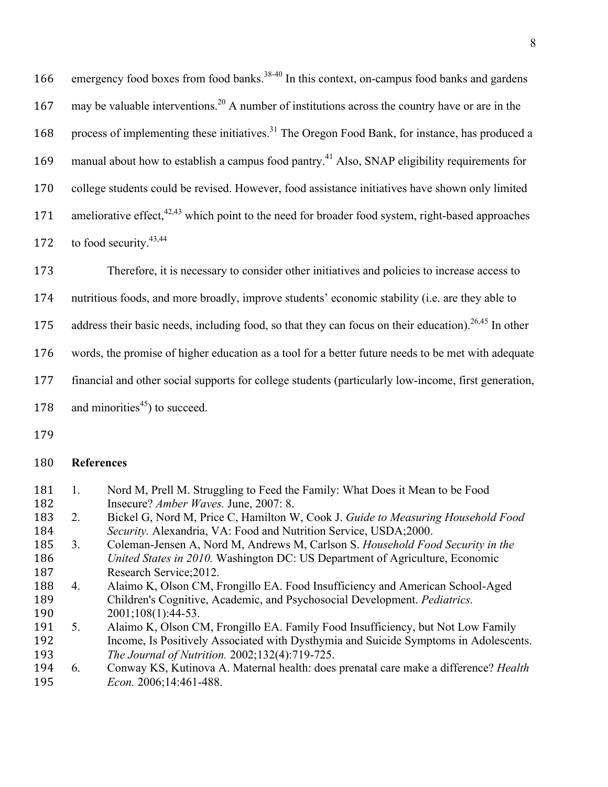166 emergency food boxes from food banks.<sup>38-40</sup> In this context, on-campus food banks and gardens 167 may be valuable interventions.<sup>20</sup> A number of institutions across the country have or are in the 168 process of implementing these initiatives.<sup>31</sup> The Oregon Food Bank, for instance, has produced a 169 manual about how to establish a campus food pantry.<sup>41</sup> Also, SNAP eligibility requirements for college students could be revised. However, food assistance initiatives have shown only limited 171 ameliorative effect,  $42,43$  which point to the need for broader food system, right-based approaches 172 to food security.<sup>43,44</sup>

Therefore, it is necessary to consider other initiatives and policies to increase access to

nutritious foods, and more broadly, improve students' economic stability (i.e. are they able to

175 address their basic needs, including food, so that they can focus on their education).<sup>26,45</sup> In other

words, the promise of higher education as a tool for a better future needs to be met with adequate

financial and other social supports for college students (particularly low-income, first generation,

178 and minorities<sup>45</sup>) to succeed.

# **References**

- 1. Nord M, Prell M. Struggling to Feed the Family: What Does it Mean to be Food Insecure? *Amber Waves.* June, 2007: 8.
- 2. Bickel G, Nord M, Price C, Hamilton W, Cook J. *Guide to Measuring Household Food Security.* Alexandria, VA: Food and Nutrition Service, USDA;2000.
- 3. Coleman-Jensen A, Nord M, Andrews M, Carlson S. *Household Food Security in the United States in 2010.* Washington DC: US Department of Agriculture, Economic Research Service;2012.
- 4. Alaimo K, Olson CM, Frongillo EA. Food Insufficiency and American School-Aged Children's Cognitive, Academic, and Psychosocial Development. *Pediatrics.*  2001;108(1):44-53.
- 5. Alaimo K, Olson CM, Frongillo EA. Family Food Insufficiency, but Not Low Family Income, Is Positively Associated with Dysthymia and Suicide Symptoms in Adolescents. *The Journal of Nutrition.* 2002;132(4):719-725.
- 6. Conway KS, Kutinova A. Maternal health: does prenatal care make a difference? *Health Econ.* 2006;14:461-488.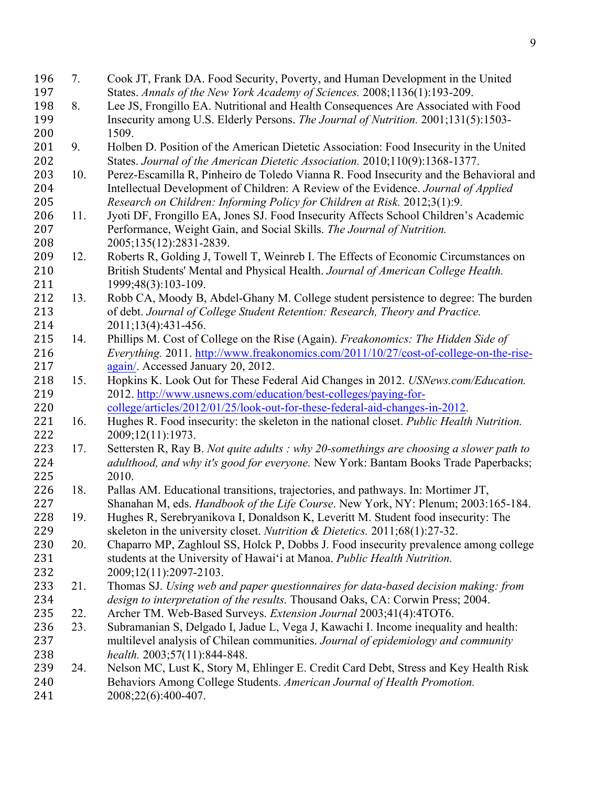| 196 | 7.  | Cook JT, Frank DA. Food Security, Poverty, and Human Development in the United           |
|-----|-----|------------------------------------------------------------------------------------------|
| 197 |     | States. Annals of the New York Academy of Sciences. 2008;1136(1):193-209.                |
| 198 | 8.  | Lee JS, Frongillo EA. Nutritional and Health Consequences Are Associated with Food       |
| 199 |     | Insecurity among U.S. Elderly Persons. The Journal of Nutrition. 2001;131(5):1503-       |
| 200 |     | 1509.                                                                                    |
| 201 | 9.  | Holben D. Position of the American Dietetic Association: Food Insecurity in the United   |
| 202 |     | States. Journal of the American Dietetic Association. 2010;110(9):1368-1377.             |
| 203 | 10. | Perez-Escamilla R, Pinheiro de Toledo Vianna R. Food Insecurity and the Behavioral and   |
| 204 |     | Intellectual Development of Children: A Review of the Evidence. Journal of Applied       |
| 205 |     | Research on Children: Informing Policy for Children at Risk. 2012;3(1):9.                |
| 206 | 11. | Jyoti DF, Frongillo EA, Jones SJ. Food Insecurity Affects School Children's Academic     |
| 207 |     | Performance, Weight Gain, and Social Skills. The Journal of Nutrition.                   |
| 208 |     | 2005;135(12):2831-2839.                                                                  |
| 209 | 12. | Roberts R, Golding J, Towell T, Weinreb I. The Effects of Economic Circumstances on      |
| 210 |     | British Students' Mental and Physical Health. Journal of American College Health.        |
| 211 |     | 1999;48(3):103-109.                                                                      |
| 212 | 13. | Robb CA, Moody B, Abdel-Ghany M. College student persistence to degree: The burden       |
| 213 |     | of debt. Journal of College Student Retention: Research, Theory and Practice.            |
| 214 |     | 2011;13(4):431-456.                                                                      |
| 215 | 14. | Phillips M. Cost of College on the Rise (Again). Freakonomics: The Hidden Side of        |
| 216 |     | Everything. 2011. http://www.freakonomics.com/2011/10/27/cost-of-college-on-the-rise-    |
| 217 |     | again/. Accessed January 20, 2012.                                                       |
| 218 | 15. | Hopkins K. Look Out for These Federal Aid Changes in 2012. USNews.com/Education.         |
| 219 |     | 2012. http://www.usnews.com/education/best-colleges/paying-for-                          |
| 220 |     | college/articles/2012/01/25/look-out-for-these-federal-aid-changes-in-2012.              |
| 221 | 16. | Hughes R. Food insecurity: the skeleton in the national closet. Public Health Nutrition. |
| 222 |     | 2009;12(11):1973.                                                                        |
| 223 | 17. | Settersten R, Ray B. Not quite adults : why 20-somethings are choosing a slower path to  |
| 224 |     | adulthood, and why it's good for everyone. New York: Bantam Books Trade Paperbacks;      |
| 225 |     | 2010.                                                                                    |
| 226 | 18. | Pallas AM. Educational transitions, trajectories, and pathways. In: Mortimer JT,         |
| 227 |     | Shanahan M, eds. Handbook of the Life Course. New York, NY: Plenum; 2003:165-184.        |
| 228 | 19. | Hughes R, Serebryanikova I, Donaldson K, Leveritt M. Student food insecurity: The        |
| 229 |     | skeleton in the university closet. Nutrition $\&$ Dietetics. 2011;68(1):27-32.           |
| 230 | 20. | Chaparro MP, Zaghloul SS, Holck P, Dobbs J. Food insecurity prevalence among college     |
| 231 |     | students at the University of Hawai'i at Manoa. Public Health Nutrition.                 |
| 232 |     | 2009;12(11):2097-2103.                                                                   |
| 233 | 21. | Thomas SJ. Using web and paper questionnaires for data-based decision making: from       |
| 234 |     | design to interpretation of the results. Thousand Oaks, CA: Corwin Press; 2004.          |
| 235 | 22. | Archer TM. Web-Based Surveys. Extension Journal 2003;41(4):4TOT6.                        |
| 236 | 23. | Subramanian S, Delgado I, Jadue L, Vega J, Kawachi I. Income inequality and health:      |
| 237 |     | multilevel analysis of Chilean communities. Journal of epidemiology and community        |
| 238 |     | health. 2003;57(11):844-848.                                                             |
| 239 | 24. | Nelson MC, Lust K, Story M, Ehlinger E. Credit Card Debt, Stress and Key Health Risk     |
| 240 |     | Behaviors Among College Students. American Journal of Health Promotion.                  |
| 241 |     | 2008;22(6):400-407.                                                                      |
|     |     |                                                                                          |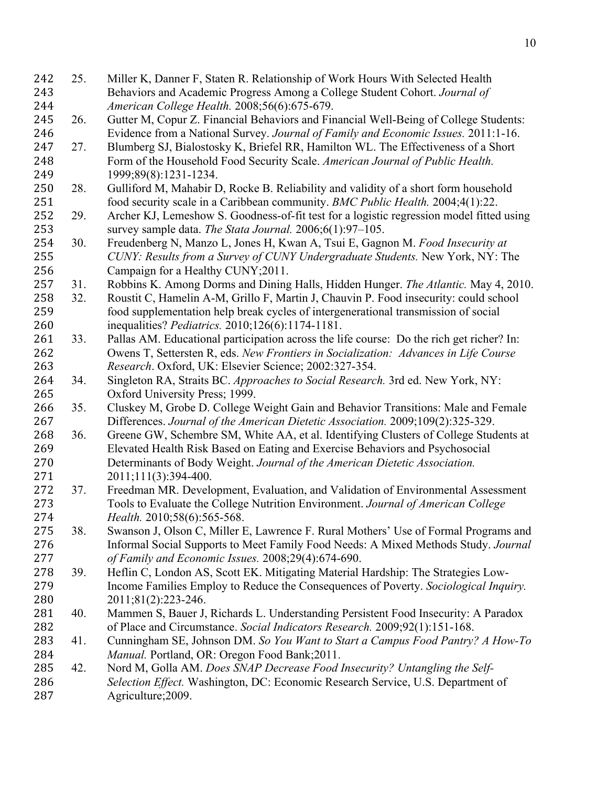25. Miller K, Danner F, Staten R. Relationship of Work Hours With Selected Health Behaviors and Academic Progress Among a College Student Cohort. *Journal of American College Health.* 2008;56(6):675-679. 26. Gutter M, Copur Z. Financial Behaviors and Financial Well-Being of College Students: Evidence from a National Survey. *Journal of Family and Economic Issues.* 2011:1-16. 247 27. Blumberg SJ, Bialostosky K, Briefel RR, Hamilton WL. The Effectiveness of a Short Form of the Household Food Security Scale. *American Journal of Public Health.*  1999;89(8):1231-1234. 28. Gulliford M, Mahabir D, Rocke B. Reliability and validity of a short form household food security scale in a Caribbean community. *BMC Public Health.* 2004;4(1):22. 29. Archer KJ, Lemeshow S. Goodness-of-fit test for a logistic regression model fitted using survey sample data. *The Stata Journal.* 2006;6(1):97–105. 30. Freudenberg N, Manzo L, Jones H, Kwan A, Tsui E, Gagnon M. *Food Insecurity at CUNY: Results from a Survey of CUNY Undergraduate Students.* New York, NY: The Campaign for a Healthy CUNY;2011. 31. Robbins K. Among Dorms and Dining Halls, Hidden Hunger. *The Atlantic.* May 4, 2010. 32. Roustit C, Hamelin A-M, Grillo F, Martin J, Chauvin P. Food insecurity: could school food supplementation help break cycles of intergenerational transmission of social inequalities? *Pediatrics.* 2010;126(6):1174-1181. 33. Pallas AM. Educational participation across the life course: Do the rich get richer? In: Owens T, Settersten R, eds. *New Frontiers in Socialization: Advances in Life Course Research*. Oxford, UK: Elsevier Science; 2002:327-354. 34. Singleton RA, Straits BC. *Approaches to Social Research.* 3rd ed. New York, NY: Oxford University Press; 1999. 35. Cluskey M, Grobe D. College Weight Gain and Behavior Transitions: Male and Female Differences. *Journal of the American Dietetic Association.* 2009;109(2):325-329. 36. Greene GW, Schembre SM, White AA, et al. Identifying Clusters of College Students at Elevated Health Risk Based on Eating and Exercise Behaviors and Psychosocial Determinants of Body Weight. *Journal of the American Dietetic Association.*  2011;111(3):394-400. 37. Freedman MR. Development, Evaluation, and Validation of Environmental Assessment Tools to Evaluate the College Nutrition Environment. *Journal of American College Health.* 2010;58(6):565-568. 38. Swanson J, Olson C, Miller E, Lawrence F. Rural Mothers' Use of Formal Programs and Informal Social Supports to Meet Family Food Needs: A Mixed Methods Study. *Journal of Family and Economic Issues.* 2008;29(4):674-690. 39. Heflin C, London AS, Scott EK. Mitigating Material Hardship: The Strategies Low- Income Families Employ to Reduce the Consequences of Poverty. *Sociological Inquiry.*  2011;81(2):223-246. 40. Mammen S, Bauer J, Richards L. Understanding Persistent Food Insecurity: A Paradox of Place and Circumstance. *Social Indicators Research.* 2009;92(1):151-168. 41. Cunningham SE, Johnson DM. *So You Want to Start a Campus Food Pantry? A How-To Manual.* Portland, OR: Oregon Food Bank;2011. 42. Nord M, Golla AM. *Does SNAP Decrease Food Insecurity? Untangling the Self- Selection Effect.* Washington, DC: Economic Research Service, U.S. Department of Agriculture;2009.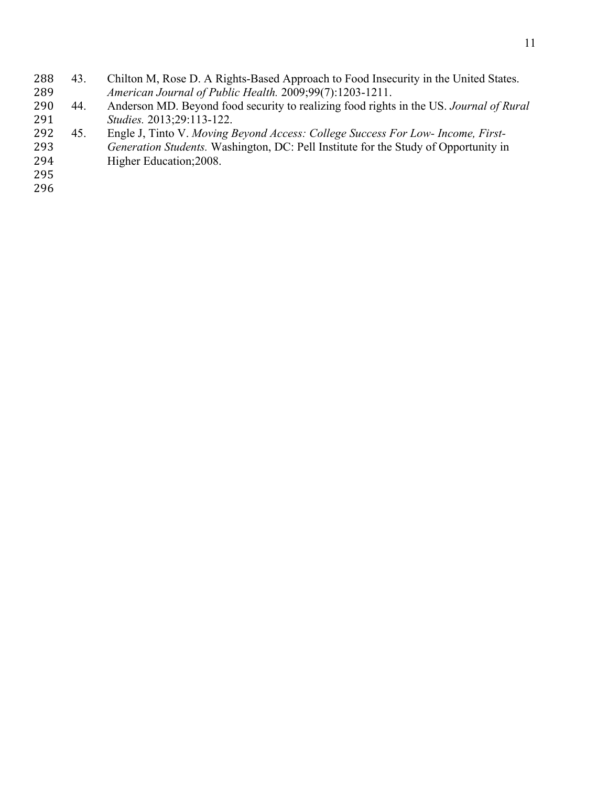- 43. Chilton M, Rose D. A Rights-Based Approach to Food Insecurity in the United States. 289 *American Journal of Public Health.* 2009;99(7):1203-1211.<br>290 44. Anderson MD. Beyond food security to realizing food rights
- 44. Anderson MD. Beyond food security to realizing food rights in the US. *Journal of Rural*  291 *Studies.* 2013;29:113-122.<br>292 45. Engle J, Tinto V. Moving L
- 45. Engle J, Tinto V. *Moving Beyond Access: College Success For Low- Income, First-*Generation Students. Washington, DC: Pell Institute for the Study of Opportunity in Higher Education;2008.
-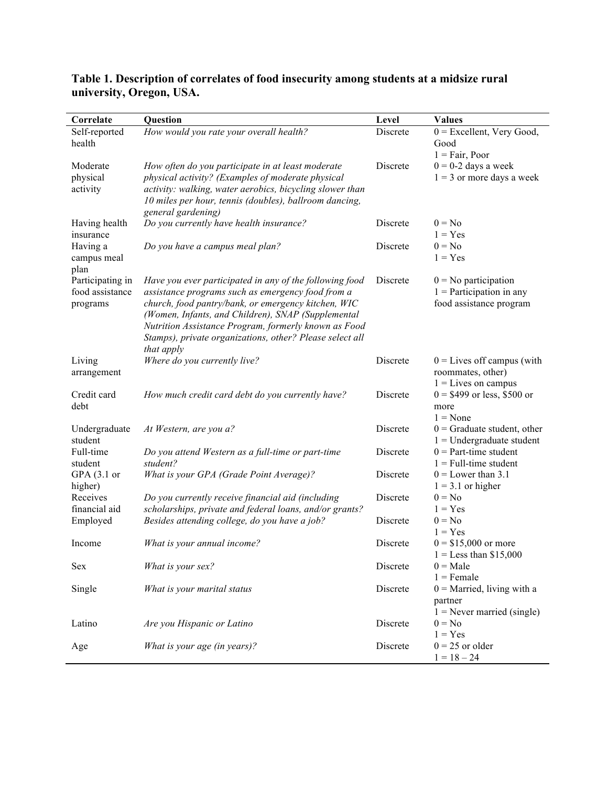| Correlate                                       | Question                                                                                                                                                                                                                                                                                                                                                    | Level    | <b>Values</b>                                                                   |
|-------------------------------------------------|-------------------------------------------------------------------------------------------------------------------------------------------------------------------------------------------------------------------------------------------------------------------------------------------------------------------------------------------------------------|----------|---------------------------------------------------------------------------------|
| Self-reported<br>health                         | How would you rate your overall health?                                                                                                                                                                                                                                                                                                                     | Discrete | $0$ = Excellent, Very Good,<br>Good<br>$1 = Fair$ , Poor                        |
| Moderate<br>physical<br>activity                | How often do you participate in at least moderate<br>physical activity? (Examples of moderate physical<br>activity: walking, water aerobics, bicycling slower than<br>10 miles per hour, tennis (doubles), ballroom dancing,<br>general gardening)                                                                                                          | Discrete | $0 = 0-2$ days a week<br>$1 = 3$ or more days a week                            |
| Having health<br>insurance                      | Do you currently have health insurance?                                                                                                                                                                                                                                                                                                                     | Discrete | $0 = No$<br>$1 = Yes$                                                           |
| Having a<br>campus meal<br>plan                 | Do you have a campus meal plan?                                                                                                                                                                                                                                                                                                                             | Discrete | $0 = No$<br>$1 = Yes$                                                           |
| Participating in<br>food assistance<br>programs | Have you ever participated in any of the following food<br>assistance programs such as emergency food from a<br>church, food pantry/bank, or emergency kitchen, WIC<br>(Women, Infants, and Children), SNAP (Supplemental<br>Nutrition Assistance Program, formerly known as Food<br>Stamps), private organizations, other? Please select all<br>that apply | Discrete | $0 = No$ participation<br>$1$ = Participation in any<br>food assistance program |
| Living<br>arrangement                           | Where do you currently live?                                                                                                                                                                                                                                                                                                                                | Discrete | $0 =$ Lives off campus (with<br>roommates, other)<br>$1 =$ Lives on campus      |
| Credit card<br>debt                             | How much credit card debt do you currently have?                                                                                                                                                                                                                                                                                                            | Discrete | $0 = $499$ or less, \$500 or<br>more<br>$1 = None$                              |
| Undergraduate<br>student                        | At Western, are you a?                                                                                                                                                                                                                                                                                                                                      | Discrete | $0 =$ Graduate student, other<br>$1 =$ Undergraduate student                    |
| Full-time<br>student                            | Do you attend Western as a full-time or part-time<br>student?                                                                                                                                                                                                                                                                                               | Discrete | $0 = Part-time student$<br>$1 =$ Full-time student                              |
| GPA $(3.1 \text{ or }$<br>higher)               | What is your GPA (Grade Point Average)?                                                                                                                                                                                                                                                                                                                     | Discrete | $0 =$ Lower than 3.1<br>$1 = 3.1$ or higher                                     |
| Receives<br>financial aid                       | Do you currently receive financial aid (including<br>scholarships, private and federal loans, and/or grants?                                                                                                                                                                                                                                                | Discrete | $0 = No$<br>$1 = Yes$                                                           |
| Employed                                        | Besides attending college, do you have a job?                                                                                                                                                                                                                                                                                                               | Discrete | $0 = No$<br>$1 = Yes$                                                           |
| Income                                          | What is your annual income?                                                                                                                                                                                                                                                                                                                                 | Discrete | $0 = $15,000$ or more<br>$1 =$ Less than \$15,000                               |
| Sex                                             | What is your sex?                                                                                                                                                                                                                                                                                                                                           | Discrete | $0 = Male$<br>$1 =$ Female                                                      |
| Single                                          | What is your marital status                                                                                                                                                                                                                                                                                                                                 | Discrete | $0 =$ Married, living with a<br>partner<br>$1$ = Never married (single)         |
| Latino                                          | Are you Hispanic or Latino                                                                                                                                                                                                                                                                                                                                  | Discrete | $0 = No$<br>$1 = Yes$                                                           |
| Age                                             | What is your age (in years)?                                                                                                                                                                                                                                                                                                                                | Discrete | $0 = 25$ or older<br>$1 = 18 - 24$                                              |

## **Table 1. Description of correlates of food insecurity among students at a midsize rural university, Oregon, USA.**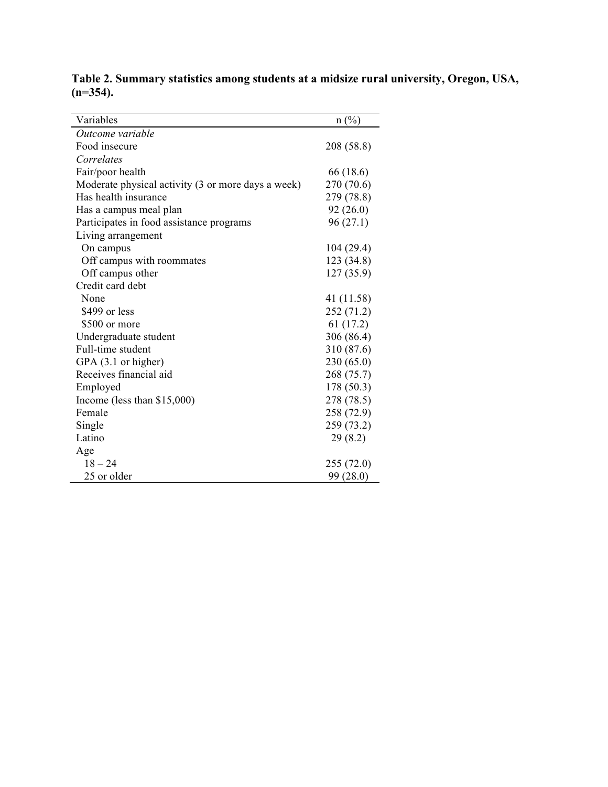| Variables                                          | $n$ (%)    |
|----------------------------------------------------|------------|
| Outcome variable                                   |            |
| Food insecure                                      | 208 (58.8) |
| Correlates                                         |            |
| Fair/poor health                                   | 66 (18.6)  |
| Moderate physical activity (3 or more days a week) | 270 (70.6) |
| Has health insurance                               | 279 (78.8) |
| Has a campus meal plan                             | 92(26.0)   |
| Participates in food assistance programs           | 96(27.1)   |
| Living arrangement                                 |            |
| On campus                                          | 104(29.4)  |
| Off campus with roommates                          | 123 (34.8) |
| Off campus other                                   | 127(35.9)  |
| Credit card debt                                   |            |
| None                                               | 41 (11.58) |
| \$499 or less                                      | 252 (71.2) |
| \$500 or more                                      | 61(17.2)   |
| Undergraduate student                              | 306 (86.4) |
| Full-time student                                  | 310 (87.6) |
| GPA (3.1 or higher)                                | 230(65.0)  |
| Receives financial aid                             | 268 (75.7) |
| Employed                                           | 178(50.3)  |
| Income (less than $$15,000$ )                      | 278 (78.5) |
| Female                                             | 258 (72.9) |
| Single                                             | 259 (73.2) |
| Latino                                             | 29(8.2)    |
| Age                                                |            |
| $18 - 24$                                          | 255 (72.0) |
| 25 or older                                        | 99 (28.0)  |

**Table 2. Summary statistics among students at a midsize rural university, Oregon, USA, (n=354).**